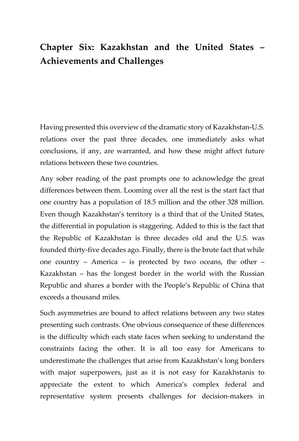## **Chapter Six: Kazakhstan and the United States – Achievements and Challenges**

Having presented this overview of the dramatic story of Kazakhstan-U.S. relations over the past three decades, one immediately asks what conclusions, if any, are warranted, and how these might affect future relations between these two countries.

Any sober reading of the past prompts one to acknowledge the great differences between them. Looming over all the rest is the start fact that one country has a population of 18.5 million and the other 328 million. Even though Kazakhstan's territory is a third that of the United States, the differential in population is staggering. Added to this is the fact that the Republic of Kazakhstan is three decades old and the U.S. was founded thirty-five decades ago. Finally, there is the brute fact that while one country – America – is protected by two oceans, the other – Kazakhstan – has the longest border in the world with the Russian Republic and shares a border with the People's Republic of China that exceeds a thousand miles.

Such asymmetries are bound to affect relations between any two states presenting such contrasts. One obvious consequence of these differences is the difficulty which each state faces when seeking to understand the constraints facing the other. It is all too easy for Americans to underestimate the challenges that arise from Kazakhstan's long borders with major superpowers, just as it is not easy for Kazakhstanis to appreciate the extent to which America's complex federal and representative system presents challenges for decision-makers in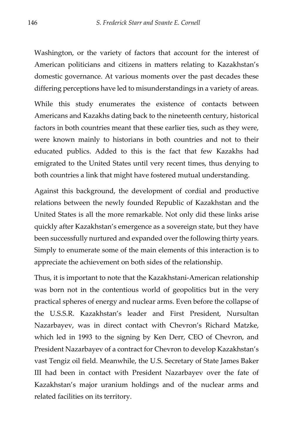Washington, or the variety of factors that account for the interest of American politicians and citizens in matters relating to Kazakhstan's domestic governance. At various moments over the past decades these differing perceptions have led to misunderstandings in a variety of areas.

While this study enumerates the existence of contacts between Americans and Kazakhs dating back to the nineteenth century, historical factors in both countries meant that these earlier ties, such as they were, were known mainly to historians in both countries and not to their educated publics. Added to this is the fact that few Kazakhs had emigrated to the United States until very recent times, thus denying to both countries a link that might have fostered mutual understanding.

Against this background, the development of cordial and productive relations between the newly founded Republic of Kazakhstan and the United States is all the more remarkable. Not only did these links arise quickly after Kazakhstan's emergence as a sovereign state, but they have been successfully nurtured and expanded over the following thirty years. Simply to enumerate some of the main elements of this interaction is to appreciate the achievement on both sides of the relationship.

Thus, it is important to note that the Kazakhstani-American relationship was born not in the contentious world of geopolitics but in the very practical spheres of energy and nuclear arms. Even before the collapse of the U.S.S.R. Kazakhstan's leader and First President, Nursultan Nazarbayev, was in direct contact with Chevron's Richard Matzke, which led in 1993 to the signing by Ken Derr, CEO of Chevron, and President Nazarbayev of a contract for Chevron to develop Kazakhstan's vast Tengiz oil field. Meanwhile, the U.S. Secretary of State James Baker III had been in contact with President Nazarbayev over the fate of Kazakhstan's major uranium holdings and of the nuclear arms and related facilities on its territory.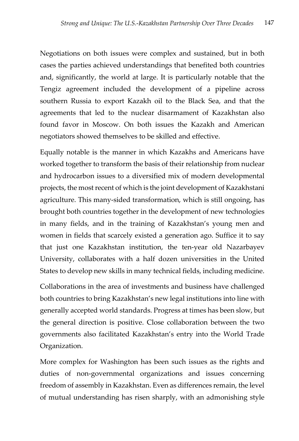Negotiations on both issues were complex and sustained, but in both cases the parties achieved understandings that benefited both countries and, significantly, the world at large. It is particularly notable that the Tengiz agreement included the development of a pipeline across southern Russia to export Kazakh oil to the Black Sea, and that the agreements that led to the nuclear disarmament of Kazakhstan also found favor in Moscow. On both issues the Kazakh and American negotiators showed themselves to be skilled and effective.

Equally notable is the manner in which Kazakhs and Americans have worked together to transform the basis of their relationship from nuclear and hydrocarbon issues to a diversified mix of modern developmental projects, the most recent of which is the joint development of Kazakhstani agriculture. This many-sided transformation, which is still ongoing, has brought both countries together in the development of new technologies in many fields, and in the training of Kazakhstan's young men and women in fields that scarcely existed a generation ago. Suffice it to say that just one Kazakhstan institution, the ten-year old Nazarbayev University, collaborates with a half dozen universities in the United States to develop new skills in many technical fields, including medicine.

Collaborations in the area of investments and business have challenged both countries to bring Kazakhstan's new legal institutions into line with generally accepted world standards. Progress at times has been slow, but the general direction is positive. Close collaboration between the two governments also facilitated Kazakhstan's entry into the World Trade Organization.

More complex for Washington has been such issues as the rights and duties of non-governmental organizations and issues concerning freedom of assembly in Kazakhstan. Even as differences remain, the level of mutual understanding has risen sharply, with an admonishing style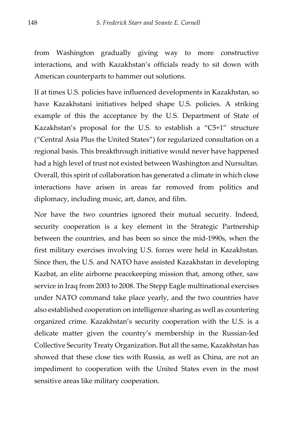from Washington gradually giving way to more constructive interactions, and with Kazakhstan's officials ready to sit down with American counterparts to hammer out solutions.

If at times U.S. policies have influenced developments in Kazakhstan, so have Kazakhstani initiatives helped shape U.S. policies. A striking example of this the acceptance by the U.S. Department of State of Kazakhstan's proposal for the U.S. to establish a "C5+1" structure ("Central Asia Plus the United States") for regularized consultation on a regional basis. This breakthrough initiative would never have happened had a high level of trust not existed between Washington and Nursultan. Overall, this spirit of collaboration has generated a climate in which close interactions have arisen in areas far removed from politics and diplomacy, including music, art, dance, and film.

Nor have the two countries ignored their mutual security. Indeed, security cooperation is a key element in the Strategic Partnership between the countries, and has been so since the mid-1990s, when the first military exercises involving U.S. forces were held in Kazakhstan. Since then, the U.S. and NATO have assisted Kazakhstan in developing Kazbat, an elite airborne peacekeeping mission that, among other, saw service in Iraq from 2003 to 2008. The Stepp Eagle multinational exercises under NATO command take place yearly, and the two countries have also established cooperation on intelligence sharing as well as countering organized crime. Kazakhstan's security cooperation with the U.S. is a delicate matter given the country's membership in the Russian-led Collective Security Treaty Organization. But all the same, Kazakhstan has showed that these close ties with Russia, as well as China, are not an impediment to cooperation with the United States even in the most sensitive areas like military cooperation.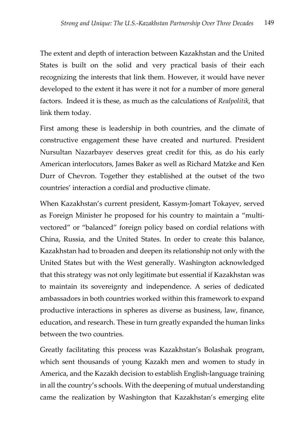The extent and depth of interaction between Kazakhstan and the United States is built on the solid and very practical basis of their each recognizing the interests that link them. However, it would have never developed to the extent it has were it not for a number of more general factors. Indeed it is these, as much as the calculations of *Realpolitik*, that link them today.

First among these is leadership in both countries, and the climate of constructive engagement these have created and nurtured. President Nursultan Nazarbayev deserves great credit for this, as do his early American interlocutors, James Baker as well as Richard Matzke and Ken Durr of Chevron. Together they established at the outset of the two countries' interaction a cordial and productive climate.

When Kazakhstan's current president, Kassym-Jomart Tokayev, served as Foreign Minister he proposed for his country to maintain a "multivectored" or "balanced" foreign policy based on cordial relations with China, Russia, and the United States. In order to create this balance, Kazakhstan had to broaden and deepen its relationship not only with the United States but with the West generally. Washington acknowledged that this strategy was not only legitimate but essential if Kazakhstan was to maintain its sovereignty and independence. A series of dedicated ambassadors in both countries worked within this framework to expand productive interactions in spheres as diverse as business, law, finance, education, and research. These in turn greatly expanded the human links between the two countries.

Greatly facilitating this process was Kazakhstan's Bolashak program, which sent thousands of young Kazakh men and women to study in America, and the Kazakh decision to establish English-language training in all the country's schools. With the deepening of mutual understanding came the realization by Washington that Kazakhstan's emerging elite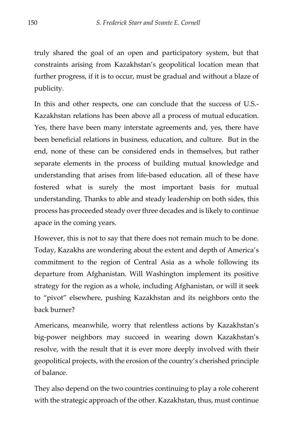truly shared the goal of an open and participatory system, but that constraints arising from Kazakhstan's geopolitical location mean that further progress, if it is to occur, must be gradual and without a blaze of publicity.

In this and other respects, one can conclude that the success of U.S.- Kazakhstan relations has been above all a process of mutual education. Yes, there have been many interstate agreements and, yes, there have been beneficial relations in business, education, and culture. But in the end, none of these can be considered ends in themselves, but rather separate elements in the process of building mutual knowledge and understanding that arises from life-based education. all of these have fostered what is surely the most important basis for mutual understanding. Thanks to able and steady leadership on both sides, this process has proceeded steady over three decades and is likely to continue apace in the coming years.

However, this is not to say that there does not remain much to be done. Today, Kazakhs are wondering about the extent and depth of America's commitment to the region of Central Asia as a whole following its departure from Afghanistan. Will Washington implement its positive strategy for the region as a whole, including Afghanistan, or will it seek to "pivot" elsewhere, pushing Kazakhstan and its neighbors onto the back burner?

Americans, meanwhile, worry that relentless actions by Kazakhstan's big-power neighbors may succeed in wearing down Kazakhstan's resolve, with the result that it is ever more deeply involved with their geopolitical projects, with the erosion of the country's cherished principle of balance.

They also depend on the two countries continuing to play a role coherent with the strategic approach of the other. Kazakhstan, thus, must continue